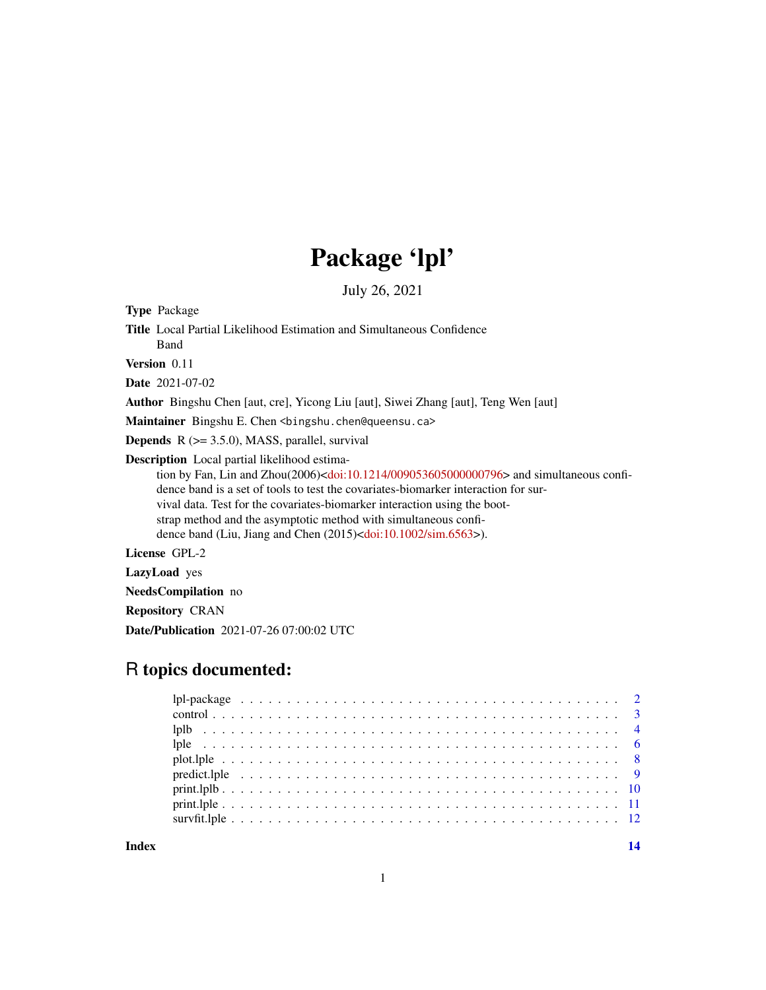## Package 'lpl'

July 26, 2021

<span id="page-0-0"></span>Type Package

Title Local Partial Likelihood Estimation and Simultaneous Confidence

Band Version 0.11

Date 2021-07-02

Author Bingshu Chen [aut, cre], Yicong Liu [aut], Siwei Zhang [aut], Teng Wen [aut]

Maintainer Bingshu E. Chen <br/>bingshu.chen@queensu.ca>

**Depends**  $R$  ( $>= 3.5.0$ ), MASS, parallel, survival

Description Local partial likelihood estima-

tion by Fan, Lin and Zhou(2006)[<doi:10.1214/009053605000000796>](https://doi.org/10.1214/009053605000000796) and simultaneous confidence band is a set of tools to test the covariates-biomarker interaction for survival data. Test for the covariates-biomarker interaction using the bootstrap method and the asymptotic method with simultaneous confidence band (Liu, Jiang and Chen (2015)[<doi:10.1002/sim.6563>](https://doi.org/10.1002/sim.6563)).

License GPL-2

LazyLoad yes

NeedsCompilation no

Repository CRAN

Date/Publication 2021-07-26 07:00:02 UTC

## R topics documented:

**Index** 2008 **[14](#page-13-0)**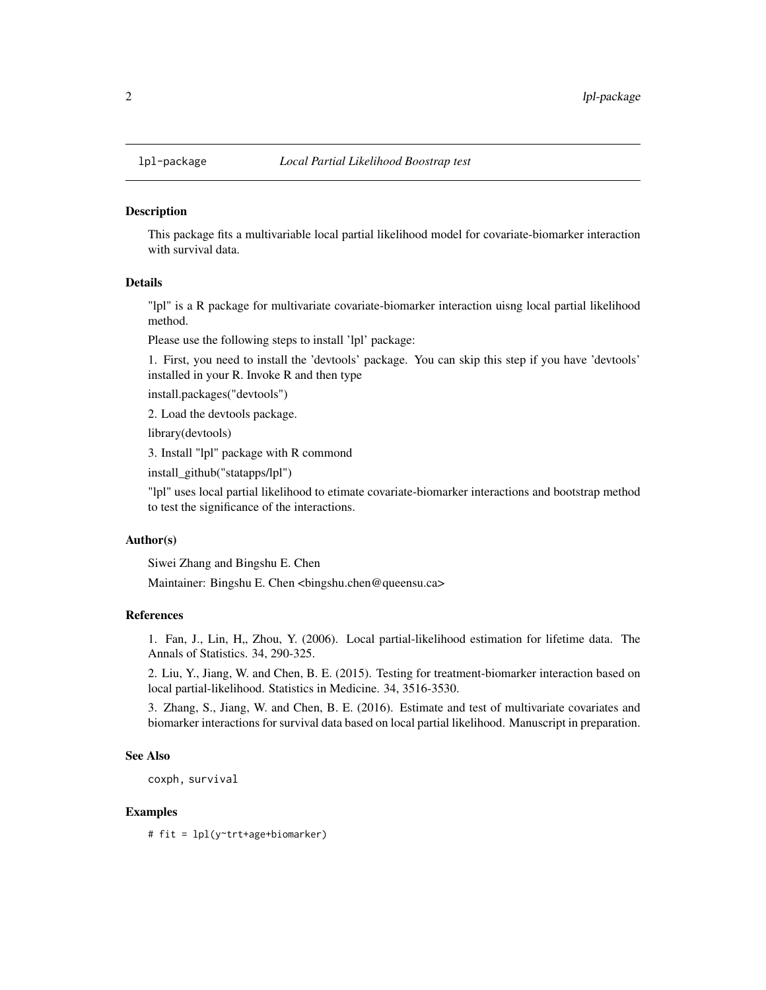<span id="page-1-0"></span>

#### Description

This package fits a multivariable local partial likelihood model for covariate-biomarker interaction with survival data.

#### Details

"lpl" is a R package for multivariate covariate-biomarker interaction uisng local partial likelihood method.

Please use the following steps to install 'lpl' package:

1. First, you need to install the 'devtools' package. You can skip this step if you have 'devtools' installed in your R. Invoke R and then type

install.packages("devtools")

2. Load the devtools package.

library(devtools)

3. Install "lpl" package with R commond

install\_github("statapps/lpl")

"lpl" uses local partial likelihood to etimate covariate-biomarker interactions and bootstrap method to test the significance of the interactions.

#### Author(s)

Siwei Zhang and Bingshu E. Chen

Maintainer: Bingshu E. Chen <bingshu.chen@queensu.ca>

#### References

1. Fan, J., Lin, H., Zhou, Y. (2006). Local partial-likelihood estimation for lifetime data. The Annals of Statistics. 34, 290-325.

2. Liu, Y., Jiang, W. and Chen, B. E. (2015). Testing for treatment-biomarker interaction based on local partial-likelihood. Statistics in Medicine. 34, 3516-3530.

3. Zhang, S., Jiang, W. and Chen, B. E. (2016). Estimate and test of multivariate covariates and biomarker interactions for survival data based on local partial likelihood. Manuscript in preparation.

#### See Also

coxph, survival

#### Examples

# fit = lpl(y~trt+age+biomarker)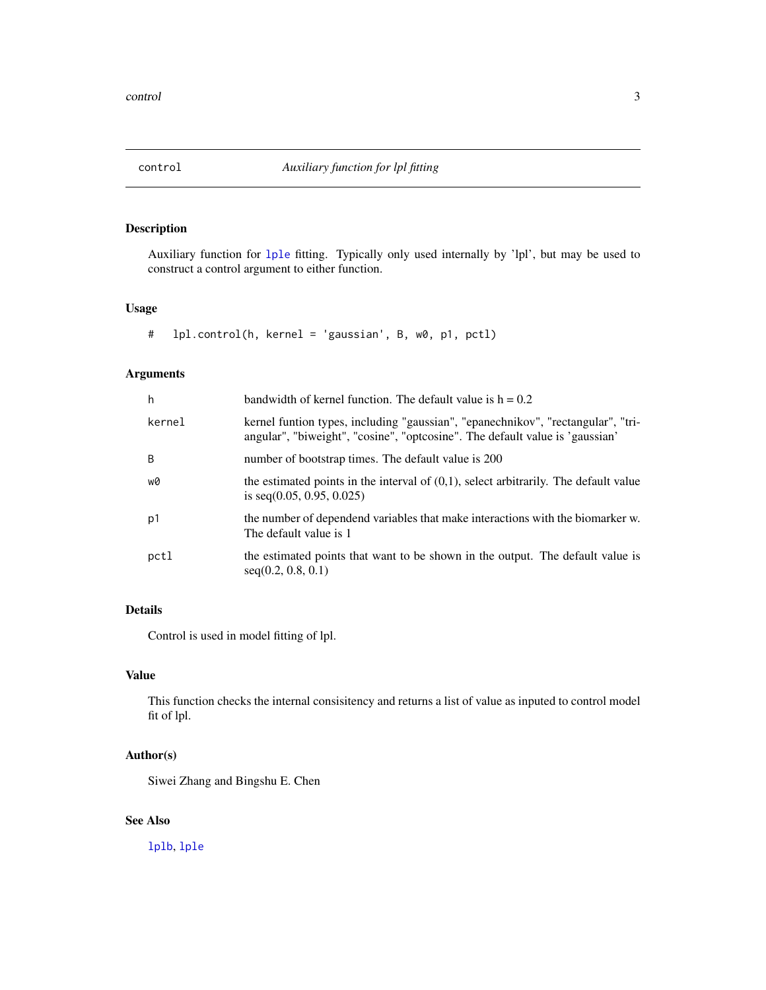<span id="page-2-0"></span>

#### <span id="page-2-1"></span>Description

Auxiliary function for [lple](#page-5-1) fitting. Typically only used internally by 'lpl', but may be used to construct a control argument to either function.

#### Usage

# lpl.control(h, kernel = 'gaussian', B, w0, p1, pctl)

#### Arguments

| h      | bandwidth of kernel function. The default value is $h = 0.2$                                                                                                     |
|--------|------------------------------------------------------------------------------------------------------------------------------------------------------------------|
| kernel | kernel funtion types, including "gaussian", "epanechnikov", "rectangular", "tri-<br>angular", "biweight", "cosine", "optcosine". The default value is 'gaussian' |
| B      | number of bootstrap times. The default value is 200                                                                                                              |
| w0     | the estimated points in the interval of $(0,1)$ , select arbitrarily. The default value<br>is seq $(0.05, 0.95, 0.025)$                                          |
| p1     | the number of dependend variables that make interactions with the biomarker w.<br>The default value is 1                                                         |
| pctl   | the estimated points that want to be shown in the output. The default value is<br>seq(0.2, 0.8, 0.1)                                                             |

#### Details

Control is used in model fitting of lpl.

#### Value

This function checks the internal consisitency and returns a list of value as inputed to control model fit of lpl.

#### Author(s)

Siwei Zhang and Bingshu E. Chen

#### See Also

[lplb](#page-3-1), [lple](#page-5-1)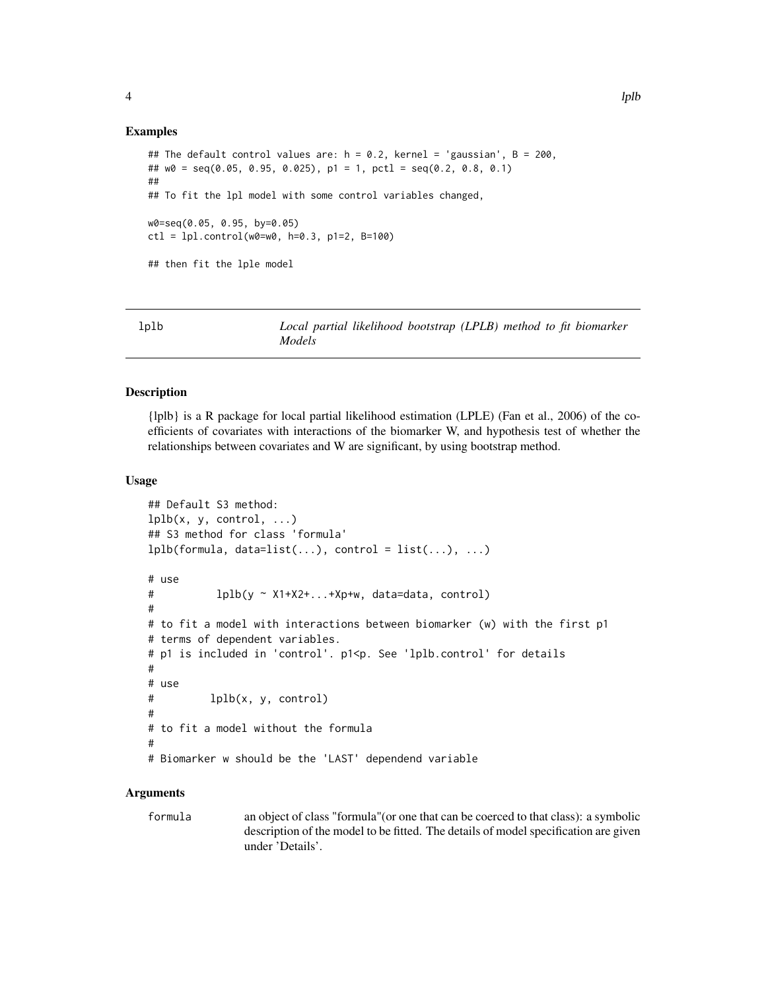#### <span id="page-3-0"></span>Examples

```
## The default control values are: h = 0.2, kernel = 'gaussian', B = 200,
## w0 = seq(0.05, 0.95, 0.025), p1 = 1, pctl = seq(0.2, 0.8, 0.1)
##
## To fit the lpl model with some control variables changed,
w0=seq(0.05, 0.95, by=0.05)
ctl = lp1.contrib(w0=w0, h=0.3, p1=2, B=100)## then fit the lple model
```
<span id="page-3-1"></span>

| lplb | Local partial likelihood bootstrap (LPLB) method to fit biomarker |  |  |  |
|------|-------------------------------------------------------------------|--|--|--|
|      | Models                                                            |  |  |  |

#### Description

{lplb} is a R package for local partial likelihood estimation (LPLE) (Fan et al., 2006) of the coefficients of covariates with interactions of the biomarker W, and hypothesis test of whether the relationships between covariates and W are significant, by using bootstrap method.

#### Usage

```
## Default S3 method:
lplb(x, y, control, ...)## S3 method for class 'formula'
lplb(formula, data=list(...), control = list(...), ...)# use
# lplb(y ~ X1+X2+...+Xp+w, data=data, control)
#
# to fit a model with interactions between biomarker (w) with the first p1
# terms of dependent variables.
# p1 is included in 'control'. p1<p. See 'lplb.control' for details
#
# use
# lplb(x, y, control)
#
# to fit a model without the formula
#
# Biomarker w should be the 'LAST' dependend variable
```
#### Arguments

formula an object of class "formula"(or one that can be coerced to that class): a symbolic description of the model to be fitted. The details of model specification are given under 'Details'.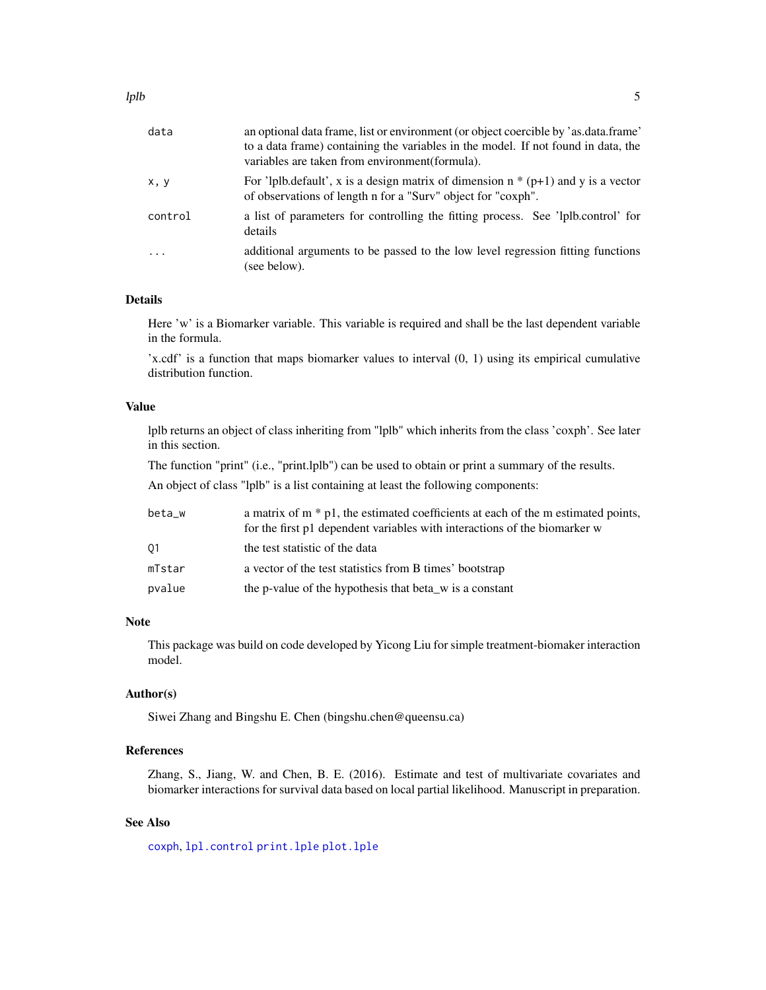<span id="page-4-0"></span>

| data     | an optional data frame, list or environment (or object coercible by 'as.data.frame'<br>to a data frame) containing the variables in the model. If not found in data, the<br>variables are taken from environment (formula). |
|----------|-----------------------------------------------------------------------------------------------------------------------------------------------------------------------------------------------------------------------------|
| x, y     | For 'lplb.default', x is a design matrix of dimension $n * (p+1)$ and y is a vector<br>of observations of length n for a "Surv" object for "coxph".                                                                         |
| control  | a list of parameters for controlling the fitting process. See 'lplb.control' for<br>details                                                                                                                                 |
| $\ddots$ | additional arguments to be passed to the low level regression fitting functions<br>(see below).                                                                                                                             |

#### Details

Here 'w' is a Biomarker variable. This variable is required and shall be the last dependent variable in the formula.

'x.cdf' is a function that maps biomarker values to interval (0, 1) using its empirical cumulative distribution function.

#### Value

lplb returns an object of class inheriting from "lplb" which inherits from the class 'coxph'. See later in this section.

The function "print" (i.e., "print.lplb") can be used to obtain or print a summary of the results.

An object of class "lplb" is a list containing at least the following components:

| beta_w | a matrix of $m * p1$ , the estimated coefficients at each of the m estimated points,<br>for the first p1 dependent variables with interactions of the biomarker w |
|--------|-------------------------------------------------------------------------------------------------------------------------------------------------------------------|
| 01     | the test statistic of the data                                                                                                                                    |
| mTstar | a vector of the test statistics from B times' bootstrap                                                                                                           |
| pvalue | the p-value of the hypothesis that beta_w is a constant                                                                                                           |

#### Note

This package was build on code developed by Yicong Liu for simple treatment-biomaker interaction model.

#### Author(s)

Siwei Zhang and Bingshu E. Chen (bingshu.chen@queensu.ca)

#### References

Zhang, S., Jiang, W. and Chen, B. E. (2016). Estimate and test of multivariate covariates and biomarker interactions for survival data based on local partial likelihood. Manuscript in preparation.

#### See Also

[coxph](#page-0-0), [lpl.control](#page-2-1) [print.lple](#page-10-1) [plot.lple](#page-7-1)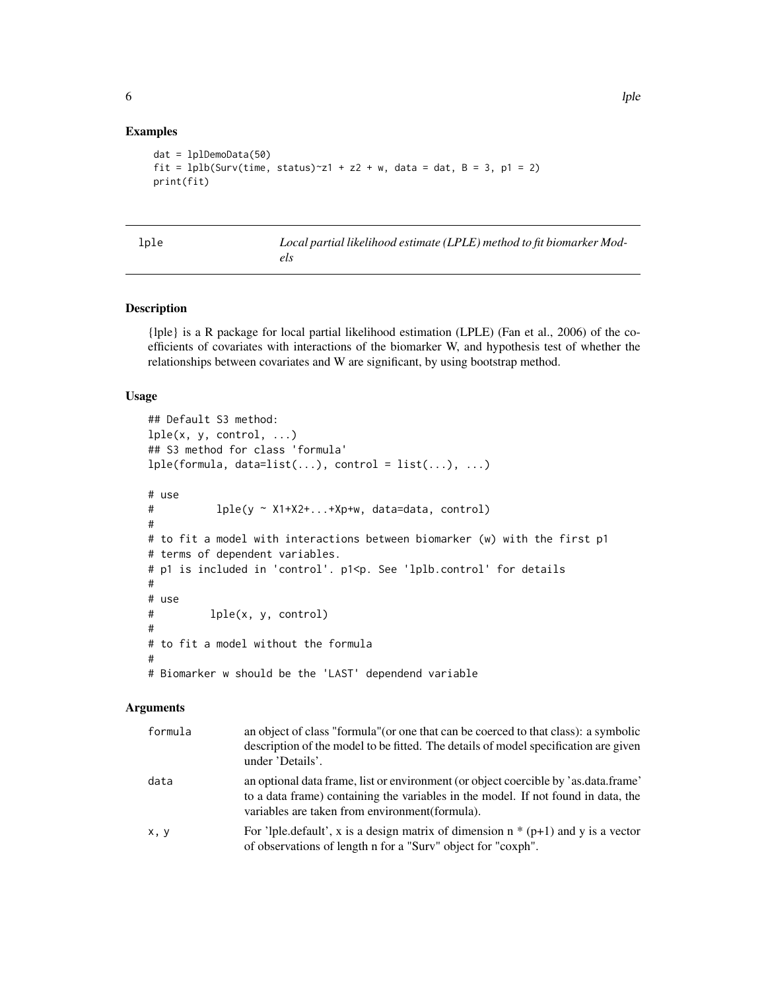#### Examples

```
dat = lplDemoData(50)
fit = lplb(Surv(time, status)~z1 + z2 + w, data = dat, B = 3, p1 = 2)
print(fit)
```
<span id="page-5-1"></span>

| ۰. | $\sim$ |
|----|--------|

Local partial likelihood estimate (LPLE) method to fit biomarker Mod*els*

#### Description

{lple} is a R package for local partial likelihood estimation (LPLE) (Fan et al., 2006) of the coefficients of covariates with interactions of the biomarker W, and hypothesis test of whether the relationships between covariates and W are significant, by using bootstrap method.

#### Usage

```
## Default S3 method:
lple(x, y, control, ...)## S3 method for class 'formula'
lple(formula, data=list(...), control = list(...), ...)# use
# lple(y ~ X1+X2+...+Xp+w, data=data, control)
#
# to fit a model with interactions between biomarker (w) with the first p1
# terms of dependent variables.
# p1 is included in 'control'. p1<p. See 'lplb.control' for details
#
# use
# lple(x, y, control)
#
# to fit a model without the formula
#
# Biomarker w should be the 'LAST' dependend variable
```
#### Arguments

| formula | an object of class "formula" (or one that can be coerced to that class): a symbolic<br>description of the model to be fitted. The details of model specification are given<br>under 'Details'.                              |
|---------|-----------------------------------------------------------------------------------------------------------------------------------------------------------------------------------------------------------------------------|
| data    | an optional data frame, list or environment (or object coercible by 'as data frame'<br>to a data frame) containing the variables in the model. If not found in data, the<br>variables are taken from environment (formula). |
| x, y    | For 'lple.default', x is a design matrix of dimension $n * (p+1)$ and y is a vector<br>of observations of length n for a "Surv" object for "coxph".                                                                         |

<span id="page-5-0"></span>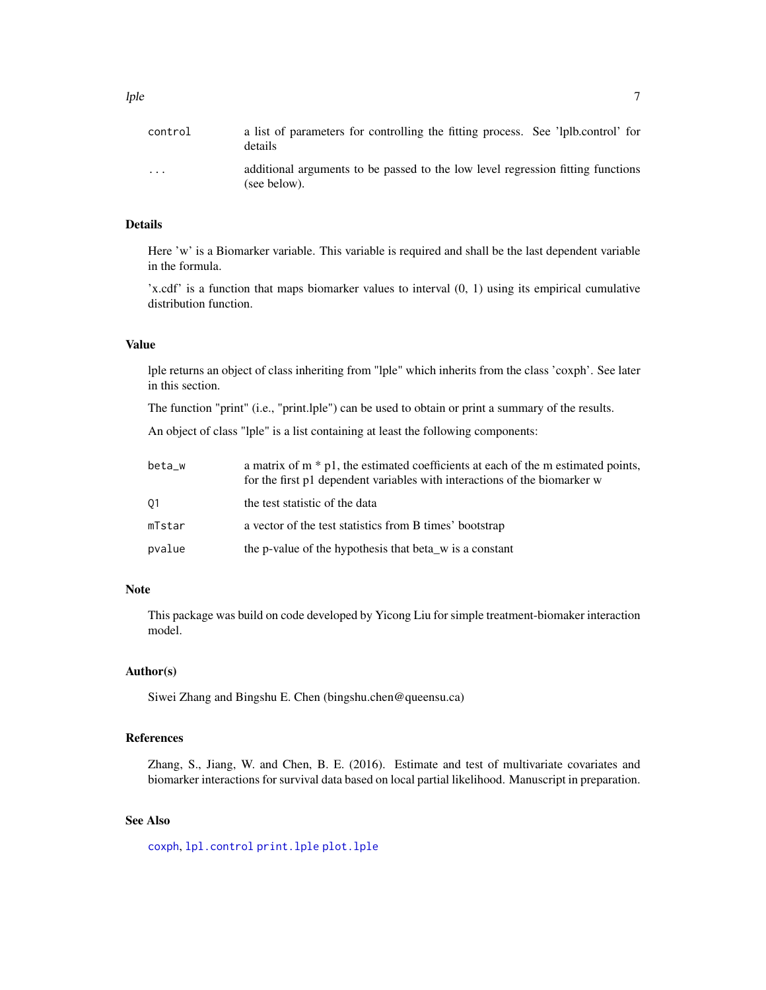<span id="page-6-0"></span>

| control                 | a list of parameters for controlling the fitting process. See 'lplb.control' for<br>details     |
|-------------------------|-------------------------------------------------------------------------------------------------|
| $\cdot$ $\cdot$ $\cdot$ | additional arguments to be passed to the low level regression fitting functions<br>(see below). |

#### Details

Here 'w' is a Biomarker variable. This variable is required and shall be the last dependent variable in the formula.

'x.cdf' is a function that maps biomarker values to interval (0, 1) using its empirical cumulative distribution function.

#### Value

lple returns an object of class inheriting from "lple" which inherits from the class 'coxph'. See later in this section.

The function "print" (i.e., "print.lple") can be used to obtain or print a summary of the results.

An object of class "lple" is a list containing at least the following components:

| beta_w | a matrix of $m * p1$ , the estimated coefficients at each of the m estimated points,<br>for the first p1 dependent variables with interactions of the biomarker w |
|--------|-------------------------------------------------------------------------------------------------------------------------------------------------------------------|
| 01     | the test statistic of the data                                                                                                                                    |
| mTstar | a vector of the test statistics from B times' bootstrap                                                                                                           |
| pvalue | the p-value of the hypothesis that beta_w is a constant                                                                                                           |

#### Note

This package was build on code developed by Yicong Liu for simple treatment-biomaker interaction model.

#### Author(s)

Siwei Zhang and Bingshu E. Chen (bingshu.chen@queensu.ca)

#### References

Zhang, S., Jiang, W. and Chen, B. E. (2016). Estimate and test of multivariate covariates and biomarker interactions for survival data based on local partial likelihood. Manuscript in preparation.

#### See Also

[coxph](#page-0-0), [lpl.control](#page-2-1) [print.lple](#page-10-1) [plot.lple](#page-7-1)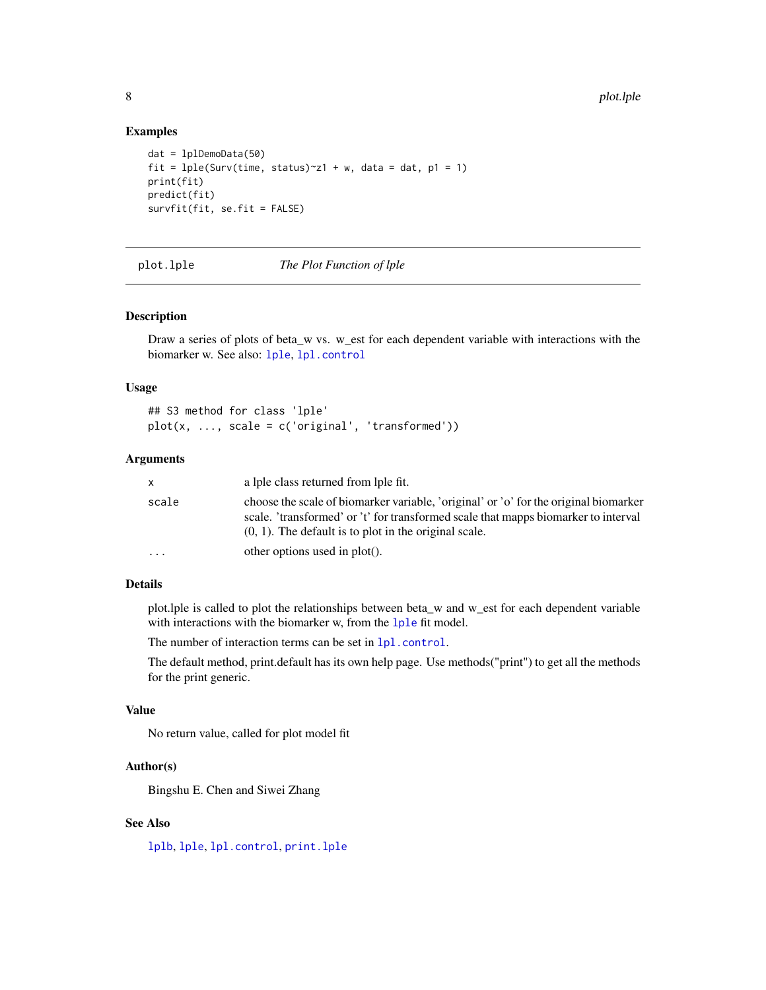#### Examples

```
dat = lplDemoData(50)
fit = lple(Surv(time, status)^z1 + w, data = dat, pl = 1)print(fit)
predict(fit)
survfit(fit, se.fit = FALSE)
```
<span id="page-7-1"></span>

plot.lple *The Plot Function of lple*

#### Description

Draw a series of plots of beta\_w vs. w\_est for each dependent variable with interactions with the biomarker w. See also: [lple](#page-5-1), [lpl.control](#page-2-1)

#### Usage

## S3 method for class 'lple'  $plot(x, ..., scale = c('original', 'transformed'))$ 

#### Arguments

| x         | a lple class returned from lple fit.                                                                                                                                                                                                   |
|-----------|----------------------------------------------------------------------------------------------------------------------------------------------------------------------------------------------------------------------------------------|
| scale     | choose the scale of biomarker variable, 'original' or 'o' for the original biomarker<br>scale. 'transformed' or 't' for transformed scale that mapps biomarker to interval<br>$(0, 1)$ . The default is to plot in the original scale. |
| $\ddotsc$ | other options used in $plot()$ .                                                                                                                                                                                                       |

#### Details

plot.lple is called to plot the relationships between beta\_w and w\_est for each dependent variable with interactions with the biomarker w, from the [lple](#page-5-1) fit model.

The number of interaction terms can be set in  $1pl$ .control.

The default method, print.default has its own help page. Use methods("print") to get all the methods for the print generic.

#### Value

No return value, called for plot model fit

#### Author(s)

Bingshu E. Chen and Siwei Zhang

#### See Also

[lplb](#page-3-1), [lple](#page-5-1), [lpl.control](#page-2-1), [print.lple](#page-10-1)

<span id="page-7-0"></span>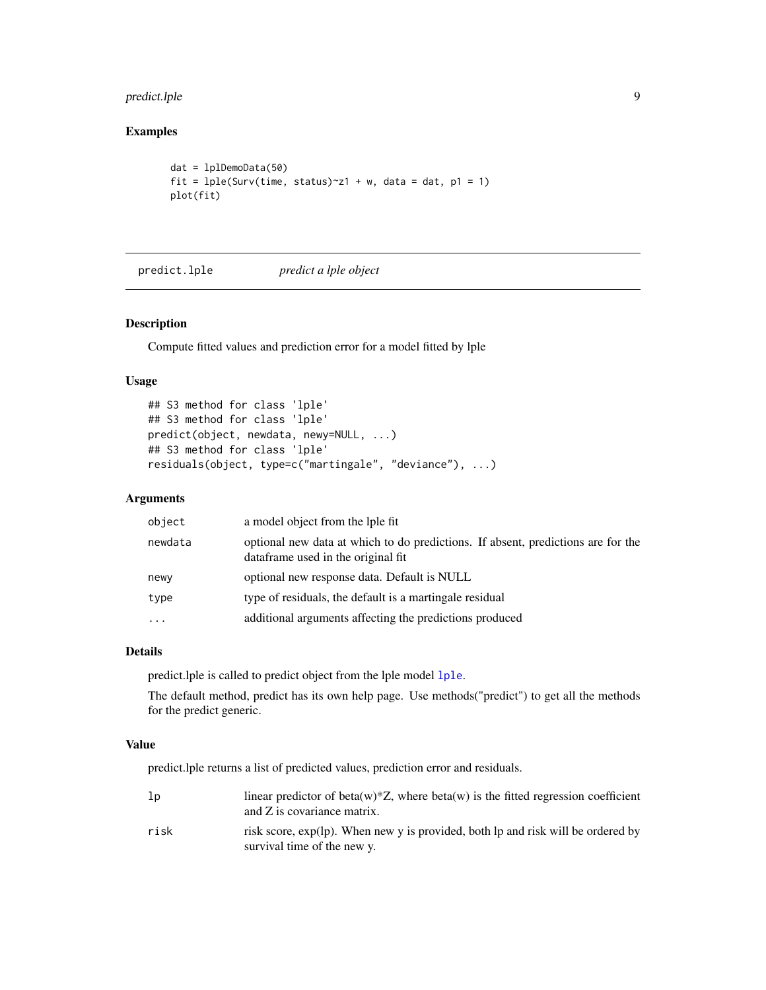#### <span id="page-8-0"></span>predict.lple 9

#### Examples

```
dat = lplDemoData(50)
fit = lple(Surv(time, status)^z1 + w, data = dat, pl = 1)plot(fit)
```
predict.lple *predict a lple object*

#### Description

Compute fitted values and prediction error for a model fitted by lple

#### Usage

```
## S3 method for class 'lple'
## S3 method for class 'lple'
predict(object, newdata, newy=NULL, ...)
## S3 method for class 'lple'
residuals(object, type=c("martingale", "deviance"), ...)
```
#### Arguments

| object    | a model object from the lple fit                                                                                       |
|-----------|------------------------------------------------------------------------------------------------------------------------|
| newdata   | optional new data at which to do predictions. If absent, predictions are for the<br>dataframe used in the original fit |
| newy      | optional new response data. Default is NULL                                                                            |
| type      | type of residuals, the default is a martingale residual                                                                |
| $\ddotsc$ | additional arguments affecting the predictions produced                                                                |
|           |                                                                                                                        |

#### Details

predict.lple is called to predict object from the lple model [lple](#page-5-1).

The default method, predict has its own help page. Use methods("predict") to get all the methods for the predict generic.

#### Value

predict.lple returns a list of predicted values, prediction error and residuals.

| lp   | linear predictor of beta(w)*Z, where beta(w) is the fitted regression coefficient<br>and Z is covariance matrix. |
|------|------------------------------------------------------------------------------------------------------------------|
| risk | risk score, exp(lp). When new y is provided, both lp and risk will be ordered by<br>survival time of the new y.  |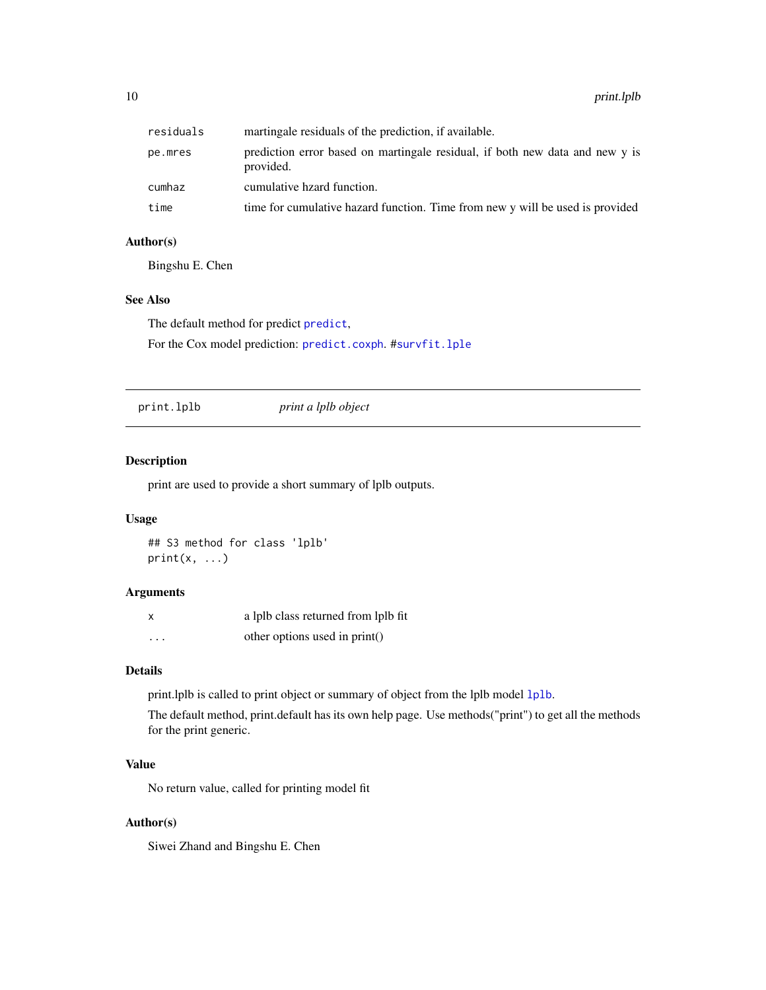<span id="page-9-0"></span>

| residuals | martingale residuals of the prediction, if available.                                     |
|-----------|-------------------------------------------------------------------------------------------|
| pe.mres   | prediction error based on martingale residual, if both new data and new y is<br>provided. |
| cumhaz    | cumulative hzard function.                                                                |
| time      | time for cumulative hazard function. Time from new y will be used is provided             |

#### Author(s)

Bingshu E. Chen

#### See Also

The default method for [predict](#page-0-0) predict, For the Cox model prediction: [predict.coxph](#page-0-0). #[survfit.lple](#page-11-1)

print.lplb *print a lplb object*

#### Description

print are used to provide a short summary of lplb outputs.

#### Usage

```
## S3 method for class 'lplb'
print(x, \ldots)
```
#### Arguments

| x                       | a lplb class returned from lplb fit |
|-------------------------|-------------------------------------|
| $\cdot$ $\cdot$ $\cdot$ | other options used in $print()$     |

#### Details

print.lplb is called to print object or summary of object from the lplb model [lplb](#page-3-1).

The default method, print.default has its own help page. Use methods("print") to get all the methods for the print generic.

#### Value

No return value, called for printing model fit

#### Author(s)

Siwei Zhand and Bingshu E. Chen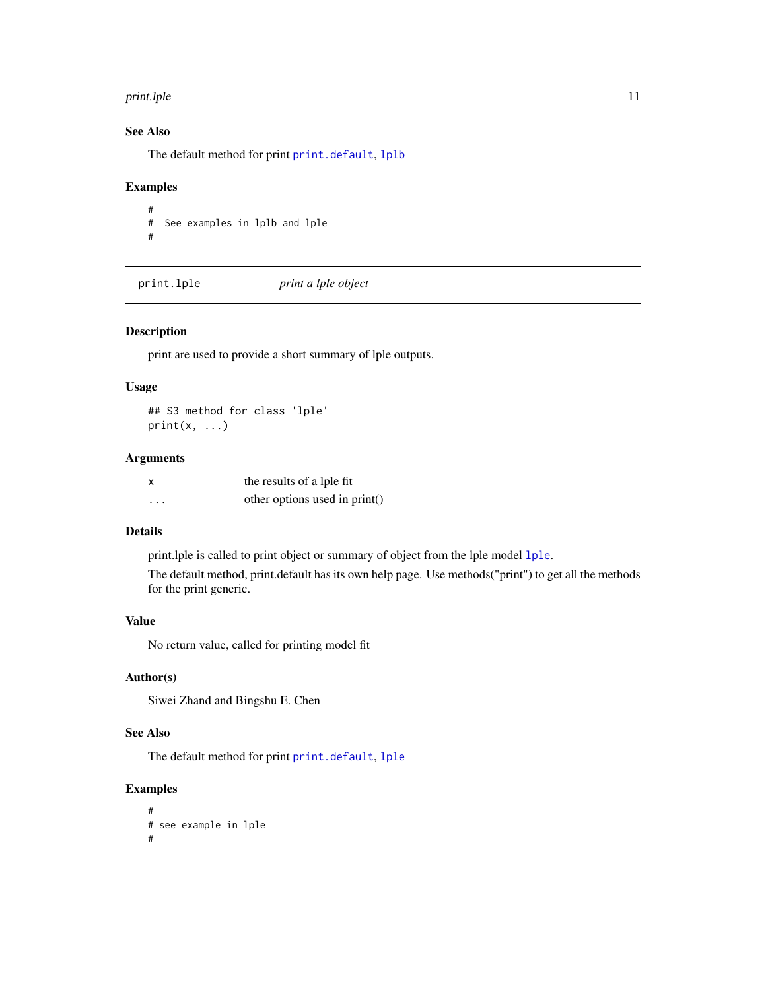#### <span id="page-10-0"></span>print.lple that the contract of the contract of the contract of the contract of the contract of the contract of the contract of the contract of the contract of the contract of the contract of the contract of the contract o

#### See Also

The default method for print [print.default](#page-0-0), [lplb](#page-3-1)

#### Examples

# # See examples in lplb and lple #

<span id="page-10-1"></span>print.lple *print a lple object*

#### Description

print are used to provide a short summary of lple outputs.

#### Usage

## S3 method for class 'lple'  $print(x, \ldots)$ 

#### Arguments

| X        | the results of a lple fit     |
|----------|-------------------------------|
| $\cdots$ | other options used in print() |

#### Details

print.lple is called to print object or summary of object from the lple model [lple](#page-5-1).

The default method, print.default has its own help page. Use methods("print") to get all the methods for the print generic.

#### Value

No return value, called for printing model fit

#### Author(s)

Siwei Zhand and Bingshu E. Chen

#### See Also

The default method for print [print.default](#page-0-0), [lple](#page-5-1)

#### Examples

```
#
# see example in lple
#
```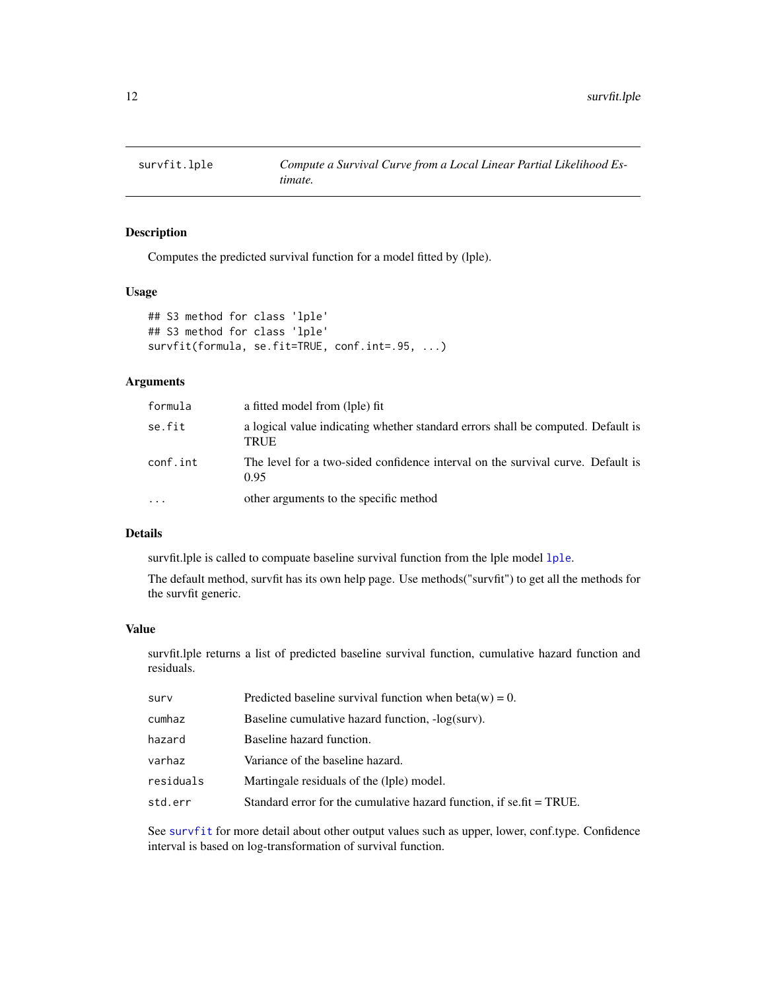<span id="page-11-1"></span><span id="page-11-0"></span>

#### Description

Computes the predicted survival function for a model fitted by (lple).

#### Usage

```
## S3 method for class 'lple'
## S3 method for class 'lple'
survfit(formula, se.fit=TRUE, conf.int=.95, ...)
```
#### Arguments

| formula  | a fitted model from (lple) fit                                                           |
|----------|------------------------------------------------------------------------------------------|
| se.fit   | a logical value indicating whether standard errors shall be computed. Default is<br>TRUE |
| conf.int | The level for a two-sided confidence interval on the survival curve. Default is<br>0.95  |
| $\ddots$ | other arguments to the specific method                                                   |

#### Details

survfit.lple is called to compuate baseline survival function from the lple model [lple](#page-5-1).

The default method, survfit has its own help page. Use methods("survfit") to get all the methods for the survfit generic.

#### Value

survfit.lple returns a list of predicted baseline survival function, cumulative hazard function and residuals.

| surv      | Predicted baseline survival function when beta(w) = 0.                   |
|-----------|--------------------------------------------------------------------------|
| cumhaz    | Baseline cumulative hazard function, -log(surv).                         |
| hazard    | Baseline hazard function.                                                |
| varhaz    | Variance of the baseline hazard.                                         |
| residuals | Martingale residuals of the (lple) model.                                |
| std.err   | Standard error for the cumulative hazard function, if se, $fit = TRUE$ . |
|           |                                                                          |

See [survfit](#page-0-0) for more detail about other output values such as upper, lower, conf.type. Confidence interval is based on log-transformation of survival function.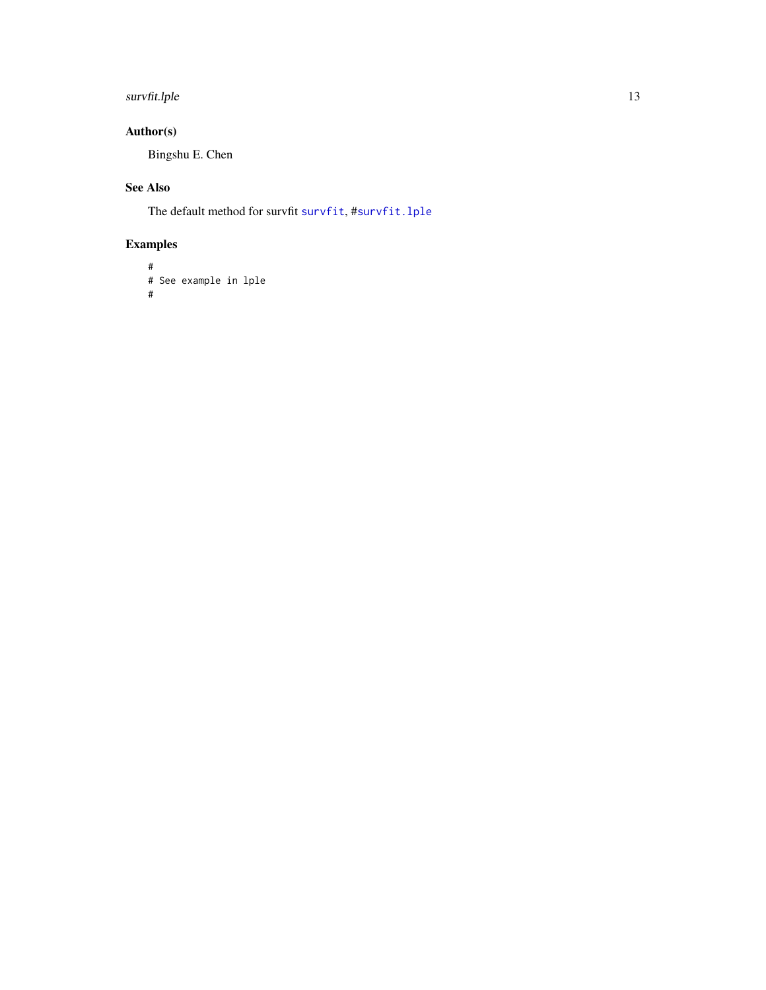#### <span id="page-12-0"></span>survfit.lple 13

#### Author(s)

Bingshu E. Chen

#### See Also

The default method for survfit [survfit](#page-0-0), #[survfit.lple](#page-11-1)

### Examples

```
#
# See example in lple
#
```